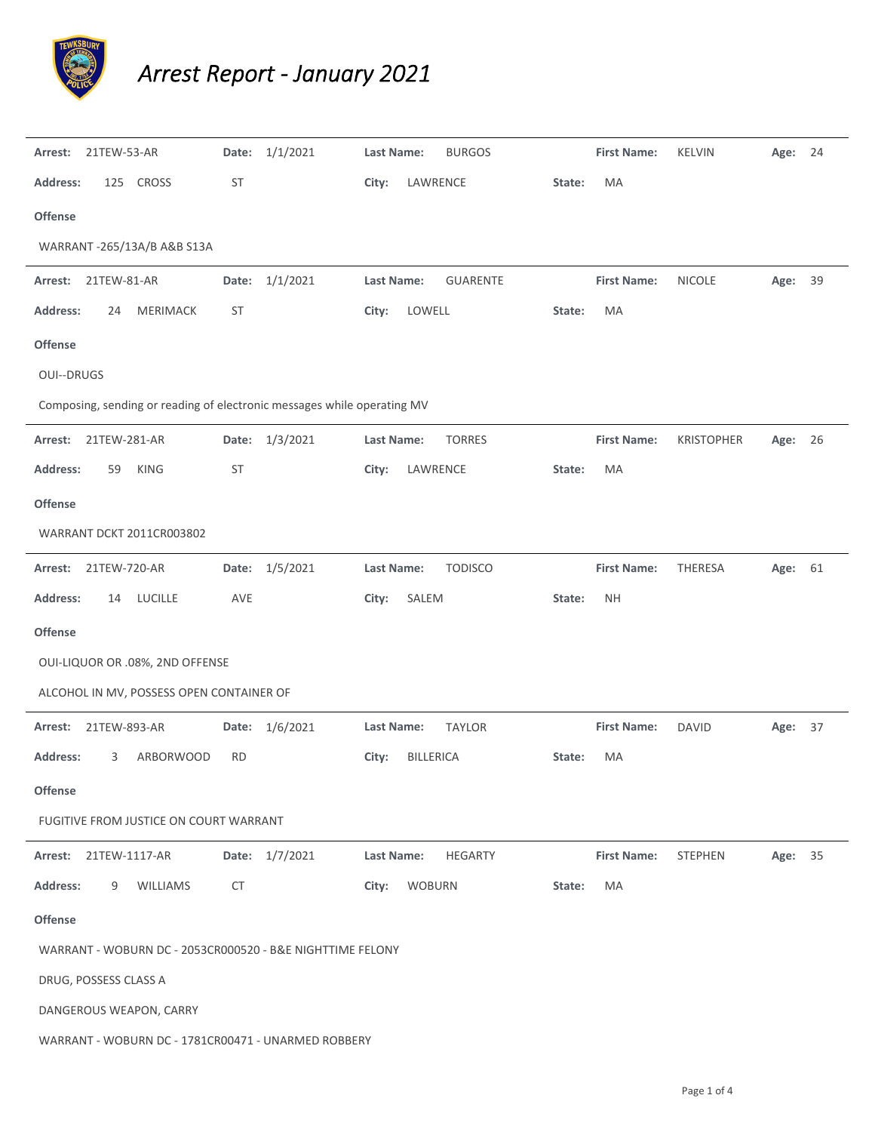

## *Arrest Report ‐ January 2021*

| Arrest:                                                   | 21TEW-53-AR                |                                          | Date:     | 1/1/2021                                                                | <b>Last Name:</b> |                  | <b>BURGOS</b>   |        | <b>First Name:</b> | <b>KELVIN</b>     | Age:    | 24 |
|-----------------------------------------------------------|----------------------------|------------------------------------------|-----------|-------------------------------------------------------------------------|-------------------|------------------|-----------------|--------|--------------------|-------------------|---------|----|
| Address:                                                  |                            | 125 CROSS                                | <b>ST</b> |                                                                         | City:             | LAWRENCE         |                 | State: | MA                 |                   |         |    |
| <b>Offense</b>                                            |                            |                                          |           |                                                                         |                   |                  |                 |        |                    |                   |         |    |
|                                                           | WARRANT-265/13A/B A&B S13A |                                          |           |                                                                         |                   |                  |                 |        |                    |                   |         |    |
| Arrest:                                                   | 21TEW-81-AR                |                                          | Date:     | 1/1/2021                                                                | Last Name:        |                  | <b>GUARENTE</b> |        | <b>First Name:</b> | <b>NICOLE</b>     | Age:    | 39 |
| <b>Address:</b>                                           | 24                         | MERIMACK                                 | <b>ST</b> |                                                                         | City:             | LOWELL           |                 | State: | MA                 |                   |         |    |
| Offense                                                   |                            |                                          |           |                                                                         |                   |                  |                 |        |                    |                   |         |    |
| <b>OUI--DRUGS</b>                                         |                            |                                          |           |                                                                         |                   |                  |                 |        |                    |                   |         |    |
|                                                           |                            |                                          |           | Composing, sending or reading of electronic messages while operating MV |                   |                  |                 |        |                    |                   |         |    |
| Arrest:                                                   | 21TEW-281-AR               |                                          | Date:     | 1/3/2021                                                                | <b>Last Name:</b> |                  | <b>TORRES</b>   |        | <b>First Name:</b> | <b>KRISTOPHER</b> | Age:    | 26 |
| Address:                                                  | 59                         | <b>KING</b>                              | <b>ST</b> |                                                                         | City:             | LAWRENCE         |                 | State: | MA                 |                   |         |    |
| <b>Offense</b>                                            |                            |                                          |           |                                                                         |                   |                  |                 |        |                    |                   |         |    |
| WARRANT DCKT 2011CR003802                                 |                            |                                          |           |                                                                         |                   |                  |                 |        |                    |                   |         |    |
| Arrest:                                                   | 21TEW-720-AR               |                                          | Date:     | 1/5/2021                                                                | <b>Last Name:</b> |                  | <b>TODISCO</b>  |        | <b>First Name:</b> | THERESA           | Age:    | 61 |
| Address:                                                  | 14                         | <b>LUCILLE</b>                           | AVE       |                                                                         | City:             | SALEM            |                 | State: | <b>NH</b>          |                   |         |    |
| Offense                                                   |                            |                                          |           |                                                                         |                   |                  |                 |        |                    |                   |         |    |
|                                                           |                            | OUI-LIQUOR OR .08%, 2ND OFFENSE          |           |                                                                         |                   |                  |                 |        |                    |                   |         |    |
|                                                           |                            | ALCOHOL IN MV, POSSESS OPEN CONTAINER OF |           |                                                                         |                   |                  |                 |        |                    |                   |         |    |
| Arrest:                                                   | 21TEW-893-AR               |                                          | Date:     | 1/6/2021                                                                | Last Name:        |                  | <b>TAYLOR</b>   |        | <b>First Name:</b> | DAVID             | Age:    | 37 |
| <b>Address:</b>                                           | 3                          | ARBORWOOD                                | RD        |                                                                         | City:             | <b>BILLERICA</b> |                 | State: | MA                 |                   |         |    |
| Offense                                                   |                            |                                          |           |                                                                         |                   |                  |                 |        |                    |                   |         |    |
| FUGITIVE FROM JUSTICE ON COURT WARRANT                    |                            |                                          |           |                                                                         |                   |                  |                 |        |                    |                   |         |    |
| Arrest:                                                   | 21TEW-1117-AR              |                                          |           | Date: 1/7/2021                                                          | <b>Last Name:</b> |                  | <b>HEGARTY</b>  |        | <b>First Name:</b> | <b>STEPHEN</b>    | Age: 35 |    |
| <b>Address:</b>                                           | 9                          | WILLIAMS                                 | <b>CT</b> |                                                                         | City:             | <b>WOBURN</b>    |                 | State: | MA                 |                   |         |    |
| <b>Offense</b>                                            |                            |                                          |           |                                                                         |                   |                  |                 |        |                    |                   |         |    |
| WARRANT - WOBURN DC - 2053CR000520 - B&E NIGHTTIME FELONY |                            |                                          |           |                                                                         |                   |                  |                 |        |                    |                   |         |    |
| DRUG, POSSESS CLASS A                                     |                            |                                          |           |                                                                         |                   |                  |                 |        |                    |                   |         |    |
| DANGEROUS WEAPON, CARRY                                   |                            |                                          |           |                                                                         |                   |                  |                 |        |                    |                   |         |    |
| WARRANT - WOBURN DC - 1781CR00471 - UNARMED ROBBERY       |                            |                                          |           |                                                                         |                   |                  |                 |        |                    |                   |         |    |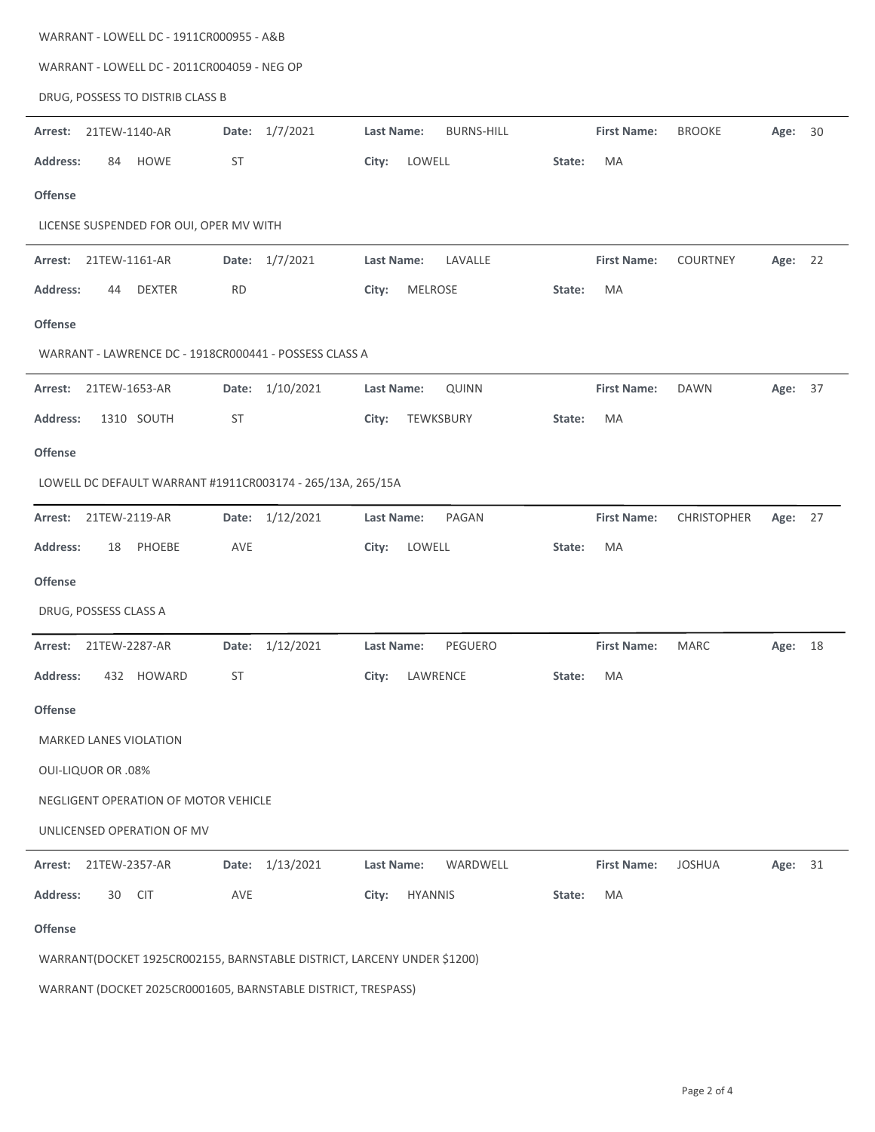| WARRANT - LOWELL DC - 1911CR000955 - A&B                                |                    |                                        |                                                  |  |  |  |  |  |  |  |  |
|-------------------------------------------------------------------------|--------------------|----------------------------------------|--------------------------------------------------|--|--|--|--|--|--|--|--|
| WARRANT - LOWELL DC - 2011CR004059 - NEG OP                             |                    |                                        |                                                  |  |  |  |  |  |  |  |  |
| DRUG, POSSESS TO DISTRIB CLASS B                                        |                    |                                        |                                                  |  |  |  |  |  |  |  |  |
| 21TEW-1140-AR<br>Arrest:                                                | Date: 1/7/2021     | <b>BURNS-HILL</b><br><b>Last Name:</b> | <b>BROOKE</b><br><b>First Name:</b><br>Age: 30   |  |  |  |  |  |  |  |  |
| <b>HOWE</b><br><b>Address:</b><br>84                                    | ST                 | LOWELL<br>City:                        | State:<br>MA                                     |  |  |  |  |  |  |  |  |
| <b>Offense</b>                                                          |                    |                                        |                                                  |  |  |  |  |  |  |  |  |
| LICENSE SUSPENDED FOR OUI, OPER MV WITH                                 |                    |                                        |                                                  |  |  |  |  |  |  |  |  |
| 21TEW-1161-AR<br>Arrest:                                                | Date: 1/7/2021     | Last Name:<br>LAVALLE                  | <b>First Name:</b><br><b>COURTNEY</b><br>Age: 22 |  |  |  |  |  |  |  |  |
| <b>Address:</b><br><b>DEXTER</b><br>44                                  | <b>RD</b>          | City:<br><b>MELROSE</b>                | State:<br>MA                                     |  |  |  |  |  |  |  |  |
| <b>Offense</b>                                                          |                    |                                        |                                                  |  |  |  |  |  |  |  |  |
| WARRANT - LAWRENCE DC - 1918CR000441 - POSSESS CLASS A                  |                    |                                        |                                                  |  |  |  |  |  |  |  |  |
| 21TEW-1653-AR<br>Arrest:                                                | Date: 1/10/2021    | <b>Last Name:</b><br><b>QUINN</b>      | <b>First Name:</b><br><b>DAWN</b><br>Age: 37     |  |  |  |  |  |  |  |  |
| 1310 SOUTH<br><b>Address:</b>                                           | ST                 | TEWKSBURY<br>City:                     | MA<br>State:                                     |  |  |  |  |  |  |  |  |
| <b>Offense</b>                                                          |                    |                                        |                                                  |  |  |  |  |  |  |  |  |
| LOWELL DC DEFAULT WARRANT #1911CR003174 - 265/13A, 265/15A              |                    |                                        |                                                  |  |  |  |  |  |  |  |  |
| 21TEW-2119-AR<br>Arrest:                                                | Date: 1/12/2021    | PAGAN<br><b>Last Name:</b>             | <b>First Name:</b><br>CHRISTOPHER<br>Age: 27     |  |  |  |  |  |  |  |  |
| <b>Address:</b><br>PHOEBE<br>18                                         | <b>AVE</b>         | LOWELL<br>City:                        | State:<br>MA                                     |  |  |  |  |  |  |  |  |
| <b>Offense</b>                                                          |                    |                                        |                                                  |  |  |  |  |  |  |  |  |
| DRUG, POSSESS CLASS A                                                   |                    |                                        |                                                  |  |  |  |  |  |  |  |  |
| 21TEW-2287-AR<br>Arrest:                                                | 1/12/2021<br>Date: | PEGUERO<br><b>Last Name:</b>           | <b>First Name:</b><br><b>MARC</b><br>Age: 18     |  |  |  |  |  |  |  |  |
| Address:<br>432 HOWARD                                                  | ST                 | City:<br>LAWRENCE                      | State:<br>MA                                     |  |  |  |  |  |  |  |  |
| <b>Offense</b>                                                          |                    |                                        |                                                  |  |  |  |  |  |  |  |  |
| MARKED LANES VIOLATION                                                  |                    |                                        |                                                  |  |  |  |  |  |  |  |  |
| <b>OUI-LIQUOR OR .08%</b>                                               |                    |                                        |                                                  |  |  |  |  |  |  |  |  |
| NEGLIGENT OPERATION OF MOTOR VEHICLE                                    |                    |                                        |                                                  |  |  |  |  |  |  |  |  |
| UNLICENSED OPERATION OF MV                                              |                    |                                        |                                                  |  |  |  |  |  |  |  |  |
| 21TEW-2357-AR<br>Arrest:                                                | Date: 1/13/2021    | WARDWELL<br>Last Name:                 | <b>First Name:</b><br><b>JOSHUA</b><br>Age: 31   |  |  |  |  |  |  |  |  |
| Address:<br>30<br><b>CIT</b>                                            | AVE                | City:<br><b>HYANNIS</b>                | MA<br>State:                                     |  |  |  |  |  |  |  |  |
| Offense                                                                 |                    |                                        |                                                  |  |  |  |  |  |  |  |  |
| WARRANT(DOCKET 1925CR002155, BARNSTABLE DISTRICT, LARCENY UNDER \$1200) |                    |                                        |                                                  |  |  |  |  |  |  |  |  |

WARRANT (DOCKET 2025CR0001605, BARNSTABLE DISTRICT, TRESPASS)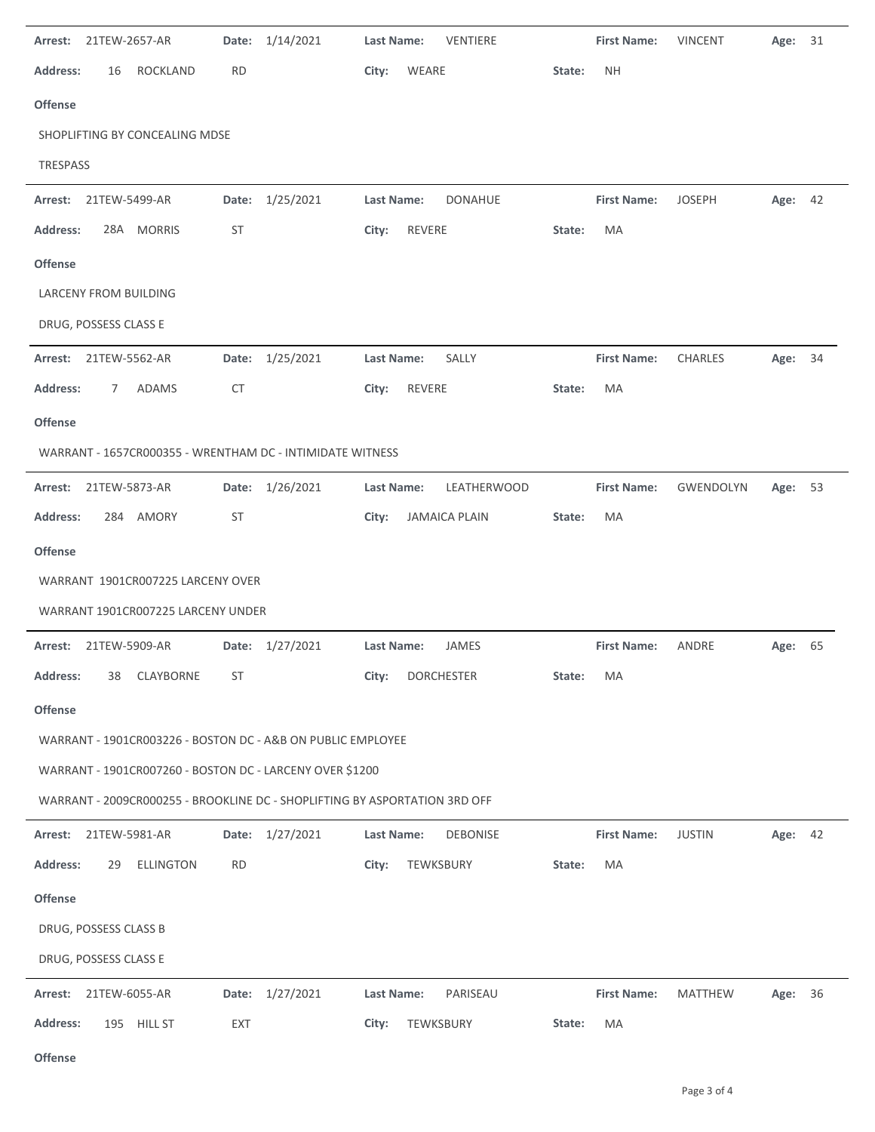|                                                           | Arrest: 21TEW-2657-AR |                                    | Date:     | 1/14/2021                                                                  | <b>Last Name:</b> | VENTIERE             |        | <b>First Name:</b> | <b>VINCENT</b> | Age:    | 31 |
|-----------------------------------------------------------|-----------------------|------------------------------------|-----------|----------------------------------------------------------------------------|-------------------|----------------------|--------|--------------------|----------------|---------|----|
| <b>Address:</b>                                           | 16                    | <b>ROCKLAND</b>                    | RD        |                                                                            | City:             | WEARE                | State: | <b>NH</b>          |                |         |    |
| Offense                                                   |                       |                                    |           |                                                                            |                   |                      |        |                    |                |         |    |
|                                                           |                       | SHOPLIFTING BY CONCEALING MDSE     |           |                                                                            |                   |                      |        |                    |                |         |    |
| TRESPASS                                                  |                       |                                    |           |                                                                            |                   |                      |        |                    |                |         |    |
| Arrest: 21TEW-5499-AR                                     |                       |                                    |           | Date: 1/25/2021                                                            | Last Name:        | <b>DONAHUE</b>       |        | <b>First Name:</b> | <b>JOSEPH</b>  | Age: 42 |    |
| <b>Address:</b>                                           |                       | 28A MORRIS                         | ST        |                                                                            | City:             | REVERE               | State: | MA                 |                |         |    |
| <b>Offense</b>                                            |                       |                                    |           |                                                                            |                   |                      |        |                    |                |         |    |
|                                                           |                       | LARCENY FROM BUILDING              |           |                                                                            |                   |                      |        |                    |                |         |    |
| DRUG, POSSESS CLASS E                                     |                       |                                    |           |                                                                            |                   |                      |        |                    |                |         |    |
| Arrest:                                                   | 21TEW-5562-AR         |                                    | Date:     | 1/25/2021                                                                  | Last Name:        | SALLY                |        | <b>First Name:</b> | <b>CHARLES</b> | Age:    | 34 |
| <b>Address:</b>                                           | 7                     | <b>ADAMS</b>                       | <b>CT</b> |                                                                            | City:             | REVERE               | State: | MA                 |                |         |    |
| Offense                                                   |                       |                                    |           |                                                                            |                   |                      |        |                    |                |         |    |
| WARRANT - 1657CR000355 - WRENTHAM DC - INTIMIDATE WITNESS |                       |                                    |           |                                                                            |                   |                      |        |                    |                |         |    |
| Arrest:                                                   | 21TEW-5873-AR         |                                    |           | Date: 1/26/2021                                                            | Last Name:        | LEATHERWOOD          |        | <b>First Name:</b> | GWENDOLYN      | Age: 53 |    |
| <b>Address:</b>                                           |                       | 284 AMORY                          | ST        |                                                                            | City:             | <b>JAMAICA PLAIN</b> | State: | MA                 |                |         |    |
| <b>Offense</b>                                            |                       |                                    |           |                                                                            |                   |                      |        |                    |                |         |    |
| WARRANT 1901CR007225 LARCENY OVER                         |                       |                                    |           |                                                                            |                   |                      |        |                    |                |         |    |
|                                                           |                       |                                    |           |                                                                            |                   |                      |        |                    |                |         |    |
|                                                           |                       | WARRANT 1901CR007225 LARCENY UNDER |           |                                                                            |                   |                      |        |                    |                |         |    |
| Arrest:                                                   |                       | 21TEW-5909-AR                      |           | Date: 1/27/2021                                                            | <b>Last Name:</b> | JAMES                |        | <b>First Name:</b> | ANDRE          | Age: 65 |    |
| Address:                                                  | 38                    | CLAYBORNE                          | ST        |                                                                            | City:             | <b>DORCHESTER</b>    | State: | МA                 |                |         |    |
| Offense                                                   |                       |                                    |           |                                                                            |                   |                      |        |                    |                |         |    |
|                                                           |                       |                                    |           | WARRANT - 1901CR003226 - BOSTON DC - A&B ON PUBLIC EMPLOYEE                |                   |                      |        |                    |                |         |    |
|                                                           |                       |                                    |           | WARRANT - 1901CR007260 - BOSTON DC - LARCENY OVER \$1200                   |                   |                      |        |                    |                |         |    |
|                                                           |                       |                                    |           | WARRANT - 2009CR000255 - BROOKLINE DC - SHOPLIFTING BY ASPORTATION 3RD OFF |                   |                      |        |                    |                |         |    |
| Arrest: 21TEW-5981-AR                                     |                       |                                    |           | Date: 1/27/2021                                                            | Last Name:        | <b>DEBONISE</b>      |        | <b>First Name:</b> | <b>JUSTIN</b>  | Age: 42 |    |
| <b>Address:</b>                                           | 29                    | <b>ELLINGTON</b>                   | <b>RD</b> |                                                                            | City:             | TEWKSBURY            | State: | MA                 |                |         |    |
| <b>Offense</b>                                            |                       |                                    |           |                                                                            |                   |                      |        |                    |                |         |    |
| DRUG, POSSESS CLASS B                                     |                       |                                    |           |                                                                            |                   |                      |        |                    |                |         |    |
| DRUG, POSSESS CLASS E                                     |                       |                                    |           |                                                                            |                   |                      |        |                    |                |         |    |
| Arrest:                                                   | 21TEW-6055-AR         |                                    |           | Date: 1/27/2021                                                            | Last Name:        | PARISEAU             |        | <b>First Name:</b> | <b>MATTHEW</b> | Age:    | 36 |

 $\overline{a}$